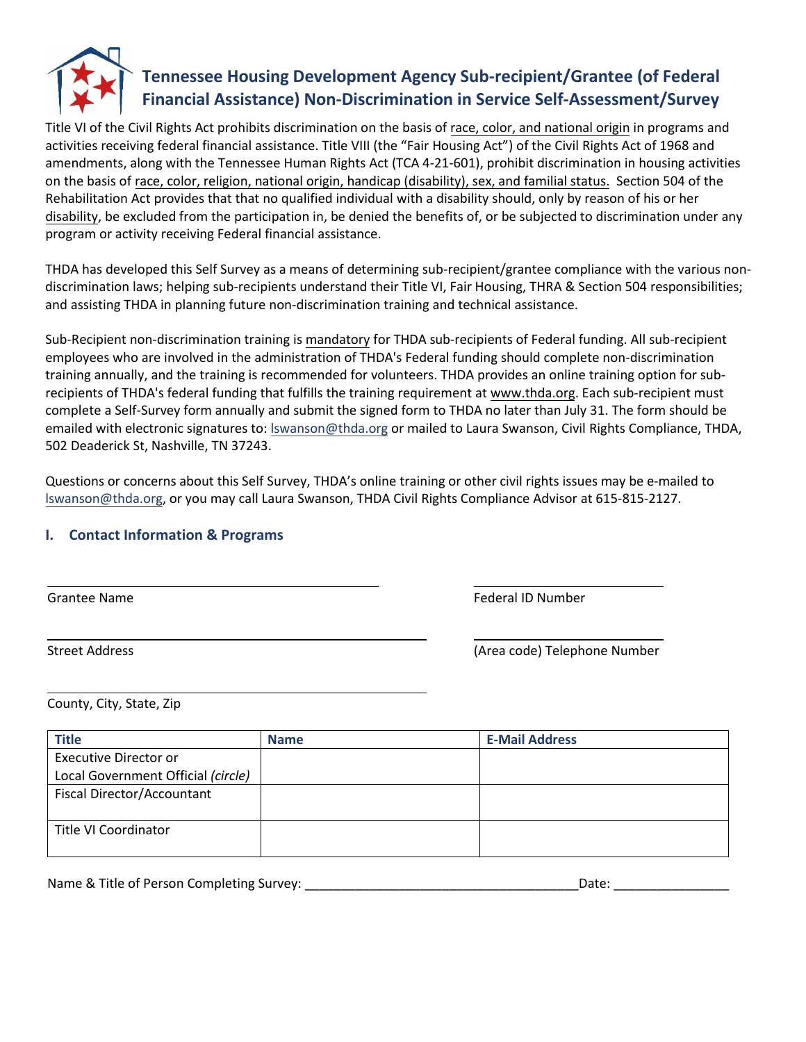

# **Tennessee Housing Development Agency Sub-recipient/Grantee (of Federal Financial Assistance) Non-Discrimination in Service Self-Assessment/Survey**

Title VI of the Civil Rights Act prohibits discrimination on the basis of race, color, and national origin in programs and activities receiving federal financial assistance. Title VIII (the "Fair Housing Act") of the Civil Rights Act of 1968 and amendments, along with the Tennessee Human Rights Act (TCA 4-21-601), prohibit discrimination in housing activities on the basis of race, color, religion, national origin, handicap (disability), sex, and familial status. Section 504 of the Rehabilitation Act provides that that no qualified individual with a disability should, only by reason of his or her disability, be excluded from the participation in, be denied the benefits of, or be subjected to discrimination under any program or activity receiving Federal financial assistance.

THDA has developed this Self Survey as a means of determining sub-recipient/grantee compliance with the various nondiscrimination laws; helping sub-recipients understand their Title VI, Fair Housing, THRA & Section 504 responsibilities; and assisting THDA in planning future non-discrimination training and technical assistance.

Sub-Recipient non-discrimination training is mandatory for THDA sub-recipients of Federal funding. All sub-recipient employees who are involved in the administration of THDA's Federal funding should complete non-discrimination training annually, and the training is recommended for volunteers. THDA provides an online training option for subrecipients of THDA's federal funding that fulfills the training requirement at www.thda.org. Each sub-recipient must complete a Self-Survey form annually and submit the signed form to THDA no later than July 31. The form should be emailed with electronic signatures to: [lswanson@thda.org](mailto:lswanson@thda.org) or mailed to Laura Swanson, Civil Rights Compliance, THDA, 502 Deaderick St, Nashville, TN 37243.

Questions or concerns about this Self Survey, THDA's online training or other civil rights issues may be e-mailed to [lswanson@thda.org,](mailto:lswanson@thda.org) or you may call Laura Swanson, THDA Civil Rights Compliance Advisor at 615-815-2127.

## **I. Contact Information & Programs**

Grantee Name Federal ID Number

Street Address (Area code) Telephone Number

County, City, State, Zip

| <b>Title</b>                       | <b>Name</b> | <b>E-Mail Address</b> |
|------------------------------------|-------------|-----------------------|
| Executive Director or              |             |                       |
| Local Government Official (circle) |             |                       |
| Fiscal Director/Accountant         |             |                       |
|                                    |             |                       |
| Title VI Coordinator               |             |                       |
|                                    |             |                       |

Name & Title of Person Completing Survey: \_\_\_\_\_\_\_\_\_\_\_\_\_\_\_\_\_\_\_\_\_\_\_\_\_\_\_\_\_\_\_\_\_\_\_\_\_\_Date: \_\_\_\_\_\_\_\_\_\_\_\_\_\_\_\_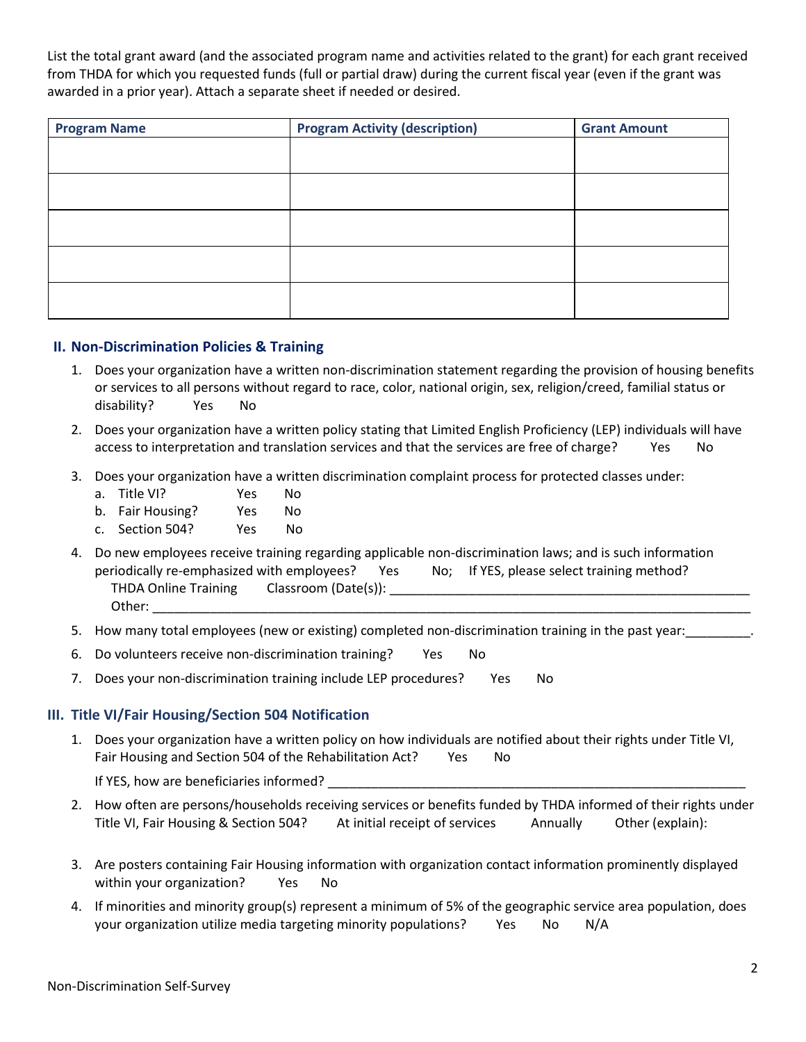List the total grant award (and the associated program name and activities related to the grant) for each grant received from THDA for which you requested funds (full or partial draw) during the current fiscal year (even if the grant was awarded in a prior year). Attach a separate sheet if needed or desired.

| <b>Program Name</b> | <b>Program Activity (description)</b> | <b>Grant Amount</b> |
|---------------------|---------------------------------------|---------------------|
|                     |                                       |                     |
|                     |                                       |                     |
|                     |                                       |                     |
|                     |                                       |                     |
|                     |                                       |                     |
|                     |                                       |                     |

#### **II. Non-Discrimination Policies & Training**

- 1. Does your organization have a written non-discrimination statement regarding the provision of housing benefits or services to all persons without regard to race, color, national origin, sex, religion/creed, familial status or disability? Yes No
- 2. Does your organization have a written policy stating that Limited English Proficiency (LEP) individuals will have access to interpretation and translation services and that the services are free of charge? Yes No
- 3. Does your organization have a written discrimination complaint process for protected classes under:
	- a. Title VI? Yes No
	- b. Fair Housing? Yes No
	- c. Section 504? Yes No
- 4. Do new employees receive training regarding applicable non-discrimination laws; and is such information periodically re-emphasized with employees? Yes No; If YES, please select training method? THDA Online Training Classroom (Date(s)): \_\_\_\_\_\_\_\_\_\_\_\_\_\_\_\_\_\_\_\_\_\_\_\_\_\_\_\_\_\_\_\_\_\_\_\_\_\_\_\_\_\_\_\_\_\_\_\_\_\_ Other:
- 5. How many total employees (new or existing) completed non-discrimination training in the past year:
- 6. Do volunteers receive non-discrimination training? Yes No
- 7. Does your non-discrimination training include LEP procedures? Yes No

## **III. Title VI/Fair Housing/Section 504 Notification**

1. Does your organization have a written policy on how individuals are notified about their rights under Title VI, Fair Housing and Section 504 of the Rehabilitation Act? Yes No

If YES, how are beneficiaries informed? \_\_\_\_\_\_\_\_\_\_\_\_\_\_\_\_\_\_\_\_\_\_\_\_\_\_\_\_\_\_\_\_\_\_\_\_\_\_\_\_\_\_\_\_\_\_\_\_\_\_\_\_\_\_\_\_\_\_

- 2. How often are persons/households receiving services or benefits funded by THDA informed of their rights under Title VI, Fair Housing & Section 504? At initial receipt of services Annually Other (explain):
- 3. Are posters containing Fair Housing information with organization contact information prominently displayed within your organization? Yes No
- 4. If minorities and minority group(s) represent a minimum of 5% of the geographic service area population, does your organization utilize media targeting minority populations? Yes No N/A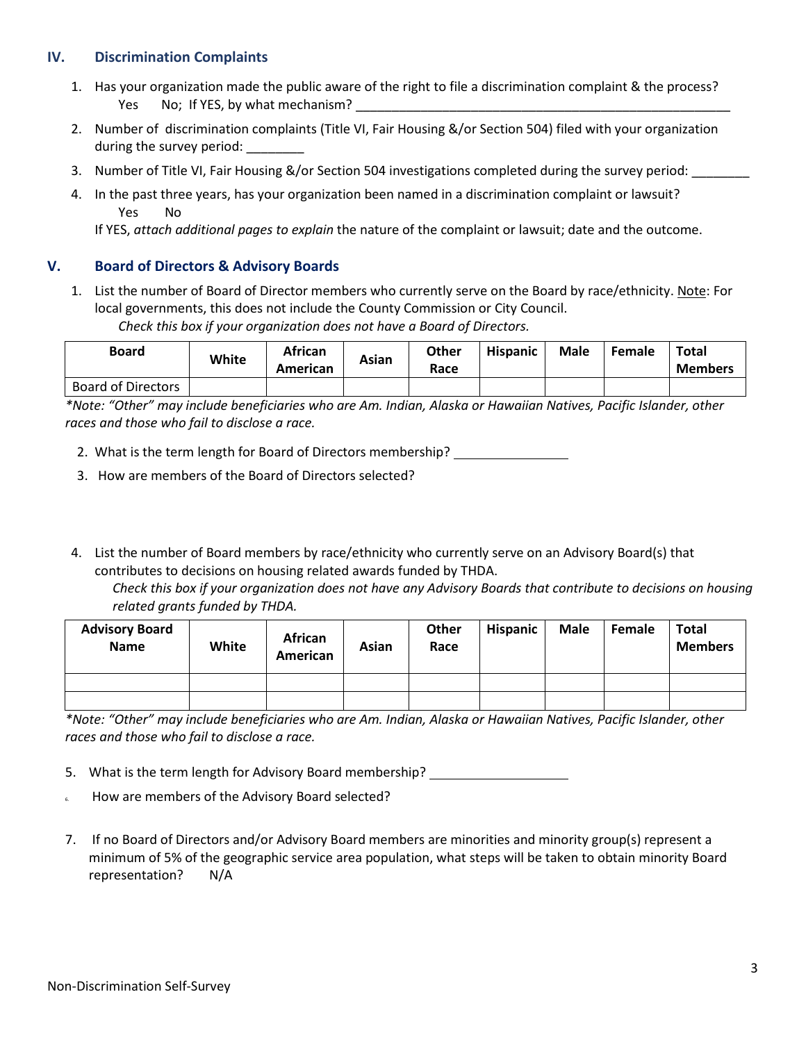## **IV. Discrimination Complaints**

- 1. Has your organization made the public aware of the right to file a discrimination complaint & the process? Yes No; If YES, by what mechanism?
- 2. Number of discrimination complaints (Title VI, Fair Housing &/or Section 504) filed with your organization during the survey period:
- 3. Number of Title VI, Fair Housing &/or Section 504 investigations completed during the survey period:
- 4. In the past three years, has your organization been named in a discrimination complaint or lawsuit? Yes No

If YES, *attach additional pages to explain* the nature of the complaint or lawsuit; date and the outcome.

## **V. Board of Directors & Advisory Boards**

1. List the number of Board of Director members who currently serve on the Board by race/ethnicity. Note: For local governments, this does not include the County Commission or City Council. *Check this box if your organization does not have a Board of Directors.*

| <b>Board</b>              | White | African<br>American | Asian | Other<br>Race | <b>Hispanic</b> | <b>Male</b> | Female | <b>Total</b><br><b>Members</b> |
|---------------------------|-------|---------------------|-------|---------------|-----------------|-------------|--------|--------------------------------|
| <b>Board of Directors</b> |       |                     |       |               |                 |             |        |                                |

*\*Note: "Other" may include beneficiaries who are Am. Indian, Alaska or Hawaiian Natives, Pacific Islander, other races and those who fail to disclose a race.*

- 2. What is the term length for Board of Directors membership?
- 3. How are members of the Board of Directors selected?
- 4. List the number of Board members by race/ethnicity who currently serve on an Advisory Board(s) that contributes to decisions on housing related awards funded by THDA.

*Check this box if your organization does not have any Advisory Boards that contribute to decisions on housing related grants funded by THDA.*

| <b>Advisory Board</b><br><b>Name</b> | White | African<br>American | Asian | Other<br>Race | <b>Hispanic</b> | Male | Female | Total<br><b>Members</b> |
|--------------------------------------|-------|---------------------|-------|---------------|-----------------|------|--------|-------------------------|
|                                      |       |                     |       |               |                 |      |        |                         |
|                                      |       |                     |       |               |                 |      |        |                         |

*\*Note: "Other" may include beneficiaries who are Am. Indian, Alaska or Hawaiian Natives, Pacific Islander, other races and those who fail to disclose a race.*

5. What is the term length for Advisory Board membership?

- 6. How are members of the Advisory Board selected?
- 7. If no Board of Directors and/or Advisory Board members are minorities and minority group(s) represent a minimum of 5% of the geographic service area population, what steps will be taken to obtain minority Board representation? N/A